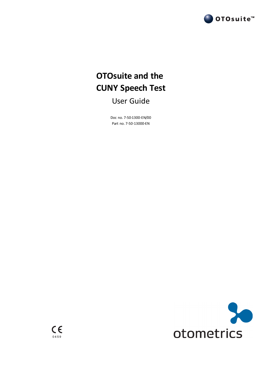

# **OTOsuite and the CUNY Speech Test**

User Guide

Doc no. 7-50-1300-EN/00 Part no. 7-50-13000-EN

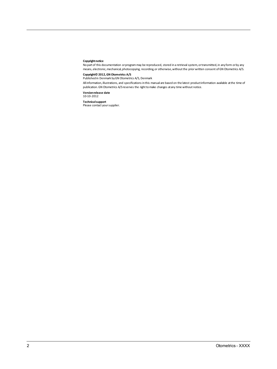#### **Copyright notice**

Nopart of this documentation orprogrammay be reproduced, stored in a retrieval system, ortransmitted,in anyform orby any means, electronic, mechanical, photocopying, recording, or otherwise, without the prior written consent of GN Otometrics A/S.

**Copyright© 2012,GN Otometrics A/S** Publishedin Denmark byGN Otometrics A/S, Denmark

All information, illustrations, and specifications in this manual are based on the latest productinformation available at the time of publication. GN Otometrics A/S reserves the right to make changes at any time without notice.

**Versionrelease date** 10-10-2012

**Technicalsupport** Please contact yoursupplier.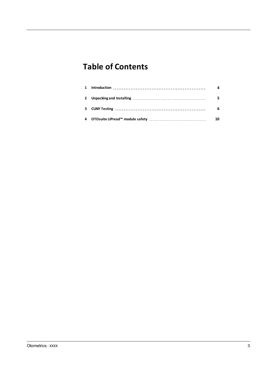# **Table of Contents**

|  | 4  |
|--|----|
|  |    |
|  | 6  |
|  | 10 |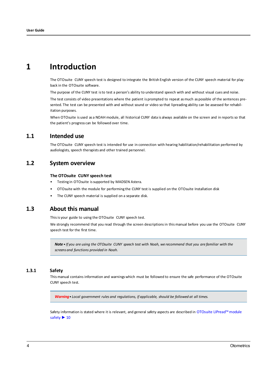# <span id="page-3-0"></span>**1 Introduction**

The OTOsuite CUNY speech test is designed to integrate the British English version of the CUNY speech material for playback in the OTOsuite software.

The purpose of the CUNY test isto test a person's ability to understand speech with and without visual cues and noise.

The test consists of video presentations where the patient is prompted to repeat asmuch as possible of the sentences presented. The test can be presented with and without sound or video so that lipreading ability can be assessed for rehabilitation purposes.

When OTOsuite is used as a NOAH module, all historical CUNY data is always available on the screen and in reports so that the patient's progress can be followed over time.

## **1.1 Intended use**

The OTOsuite CUNY speech test is intended for use in connection with hearing habilitation/rehabilitation performed by audiologists, speech therapists and other trained personnel.

## **1.2 System overview**

#### **The OTOsuite CUNY speech test**

- Testing in OTOsuite is supported by MADSEN Astera.
- OTOsuite with the module for performing the CUNY test is supplied on the OTOsuite Installation disk
- The CUNY speech material is supplied on a separate disk.

# **1.3 About this manual**

This is your guide to using the OTOsuite CUNY speech test.

We strongly recommend that you read through the screen descriptionsin this manual before you use the OTOsuite CUNY speech test for the first time.

Note . If you are using the OTOsuite CUNY speech test with Noah, we recommend that you are familiar with the *screensand functions provided in Noah.*

### **1.3.1 Safety**

This manual contains information and warningswhich must be followed to ensure the safe performance of the OTOsuite CUNY speech test.

*Warning• Local government rules and regulations, if applicable, should be followed at all times.*

Safety information is stated where it is relevant, and general safety aspects are described in [OTOsuite](#page-9-0) LIPread™ module [safety](#page-9-0) ▶ [10](#page-9-0)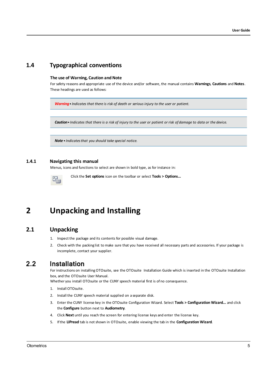# **1.4 Typographical conventions**

#### **The use of Warning, Caution and Note**

For safety reasons and appropriate use of the device and/or software, the manual contains **Warnings**, **Cautions** and **Notes**. These headings are used as follows:

*Warning• Indicates that there is risk of death or serious injury to the user or patient.*

Caution . Indicates that there is a risk of injury to the user or patient or risk of damage to data or the device.

*Note • Indicatesthat you should take special notice.*

#### **1.4.1 Navigating this manual**

Menus, icons and functions to select are shown in bold type, as for instance in:

<span id="page-4-0"></span>

Click the **Set options** icon on the toolbar or select **Tools > Options...**

# **2 Unpacking and Installing**

# **2.1 Unpacking**

- 1. Inspect the package and its contents for possible visual damage.
- 2. Check with the packing list to make sure that you have received all necessary parts and accessories. If your package is incomplete, contact your supplier.

# 2.2 Installation

For instructions on installing OTOsuite, see the OTOsuite Installation Guide which is inserted in the OTOsuite Installation box, and the OTOsuite User Manual.

Whether you install OTOsuite or the CUNY speech material first is of no consequence.

- 1. Install OTOsuite.
- 2. Install the CUNY speech material supplied on a separate disk.
- 3. Enter the CUNY license key in the OTOsuite Configuration Wizard. Select **Tools > Configuration Wizard...** and click the **Configure** button next to **Audiometry**.
- 4. Click **Next** until you reach the screen for entering license keys and enter the license key.
- 5. Ifthe **LIPread** tab is not shown in OTOsuite, enable viewing the tab in the **Configuration Wizard**.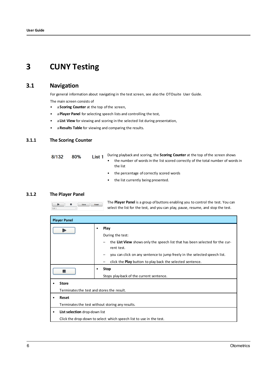# <span id="page-5-0"></span>**3 CUNY Testing**

# **3.1 Navigation**

For general information about navigating in the test screen, see also the OTOsuite User Guide.

The main screen consists of

- a **Scoring Counter** at the top ofthe screen,
- a**Player Panel** for selecting speech lists and controlling the test,
- a **List View** for viewing and scoring in the selected list during presentation,
- a**Results Table** for viewing and comparing the results.

## **3.1.1 The Scoring Counter**

| 8/132 | 80% | List 1 | During playback and scoring, the <b>Scoring Counter</b> at the top of the screen shows |                                                                                  |  |  |
|-------|-----|--------|----------------------------------------------------------------------------------------|----------------------------------------------------------------------------------|--|--|
|       |     |        | ٠                                                                                      | the number of words in the list scored correctly of the total number of words in |  |  |
|       |     |        |                                                                                        | the list                                                                         |  |  |
|       |     |        | ٠                                                                                      | the percentage of correctly scored words                                         |  |  |
|       |     |        |                                                                                        | the list currently being presented.                                              |  |  |

### **3.1.2 The Player Panel**

 $\blacksquare$ 

 $\blacksquare$ 

The **Player Panel** is a group of buttons enabling you to control the test. You can Store Reset select the list for the test, and you can play, pause, resume, and stop the test.

| <b>Player Panel</b>                              |                                                                                                                            |  |  |  |  |
|--------------------------------------------------|----------------------------------------------------------------------------------------------------------------------------|--|--|--|--|
|                                                  | Play<br>٠                                                                                                                  |  |  |  |  |
|                                                  | During the test:                                                                                                           |  |  |  |  |
|                                                  | the List View shows only the speech list that has been selected for the cur-<br>$\qquad \qquad \blacksquare$<br>rent test. |  |  |  |  |
|                                                  | you can click on any sentence to jump freely in the selected speech list.                                                  |  |  |  |  |
|                                                  | click the <b>Play</b> button to play back the selected sentence.                                                           |  |  |  |  |
| <b>Stop</b>                                      |                                                                                                                            |  |  |  |  |
|                                                  | Stops play-back of the current sentence.                                                                                   |  |  |  |  |
| <b>Store</b>                                     |                                                                                                                            |  |  |  |  |
| Terminates the test and stores the result.       |                                                                                                                            |  |  |  |  |
| Reset                                            |                                                                                                                            |  |  |  |  |
| Terminates the test without storing any results. |                                                                                                                            |  |  |  |  |
|                                                  | List selection drop-down list                                                                                              |  |  |  |  |
|                                                  | Click the drop-down to select which speech list to use in the test.                                                        |  |  |  |  |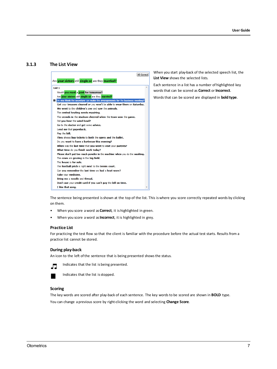#### **3.1.3 The List View**



When you start play-back of the selected speech list, the **List View** shows the selected lists.

Each sentence in a list has a number of highlighted key wordsthat can be scored as **Correct** or **Incorrect**.

Words that can be scored are displayed in **bold type**.

The sentence being presented is shown at the top of the list. This is where you score correctly repeated words by clicking on them.

- When you score aword as **Correct**, it is highlighted in green.
- When you score aword as**Incorrect**, it is highlighted in grey.

#### **Practice List**

For practicing the test flow so that the client is familiar with the procedure before the actual test starts. Results from a practice list cannot be stored.

#### **During play-back**

An icon to the left of the sentence that is being presented shows the status.



Indicates that the list is being presented.



Indicates that the list is stopped.

#### **Scoring**

The key words are scored after play-back of each sentence. The key wordsto be scored are shown in **BOLD** type. You can change a previous score by right-clicking the word and selecting **Change Score**.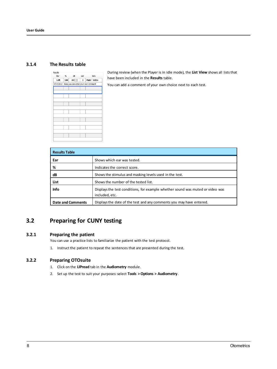## **3.1.4 The Results table**

| 100                                           |  | 1 | Mute - Video             |  |  |
|-----------------------------------------------|--|---|--------------------------|--|--|
| 9/17/2012 Here you can enter your own comment |  |   |                          |  |  |
|                                               |  |   |                          |  |  |
|                                               |  |   |                          |  |  |
|                                               |  |   |                          |  |  |
|                                               |  |   |                          |  |  |
|                                               |  |   |                          |  |  |
|                                               |  |   |                          |  |  |
|                                               |  |   |                          |  |  |
|                                               |  |   |                          |  |  |
|                                               |  |   |                          |  |  |
|                                               |  |   |                          |  |  |
|                                               |  |   |                          |  |  |
|                                               |  |   |                          |  |  |
|                                               |  |   |                          |  |  |
|                                               |  |   | % dB List Info<br>80 [ ] |  |  |

During review (when the Player is in idle mode), the **List View** shows all liststhat have been included in the **Results** table.

You can add a comment of your own choice next to each test.

| <b>Results Table</b>     |                                                                                                  |  |  |  |
|--------------------------|--------------------------------------------------------------------------------------------------|--|--|--|
| Ear                      | Shows which ear was tested.                                                                      |  |  |  |
| %                        | Indicates the correct score.                                                                     |  |  |  |
| dB                       | Shows the stimulus and masking levels used in the test.                                          |  |  |  |
| List                     | Shows the number of the tested list.                                                             |  |  |  |
| Info                     | Displays the test conditions, for example whether sound was muted or video was<br>included, etc. |  |  |  |
| <b>Date and Comments</b> | Displays the date of the test and any comments you may have entered.                             |  |  |  |

# **3.2 Preparing for CUNY testing**

## **3.2.1 Preparing the patient**

You can use a practice lists to familiarize the patient with the test protocol.

1. Instruct the patient to repeat the sentences that are presented during the test.

## **3.2.2 Preparing OTOsuite**

- 1. Click on the **LIPread** tab in the **Audiometry** module.
- 2. Set up the test to suit your purposes:select **Tools >Options > Audiometry**.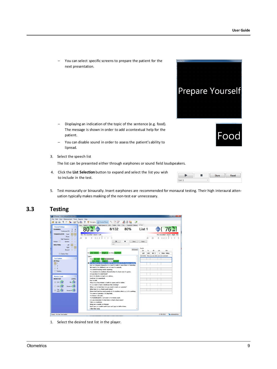– You can select specific screens to prepare the patient for the next presentation.

- Displaying an indication of the topic of the sentence (e.g. food). The message is shown in order to add a contextual help for the patient.
- You can disable sound in order to assess the patient's ability to lipread.
- 3. Select the speech list

The list can be presented either through earphones or sound field loudspeakers.

4. Click the **List Selection** button to expand and select the list you wish to include in the test.

| Etnes<br>۳ | الصحح |
|------------|-------|
|            |       |

OO0

**Prepare Yourself** 

5. Test monaurally or binaurally. Insert earphones are recommended for monaural testing. Their high interaural attenuation typically makes masking of the non-test ear unnecessary.

# **3.3 Testing**



1. Select the desired test list in the player.